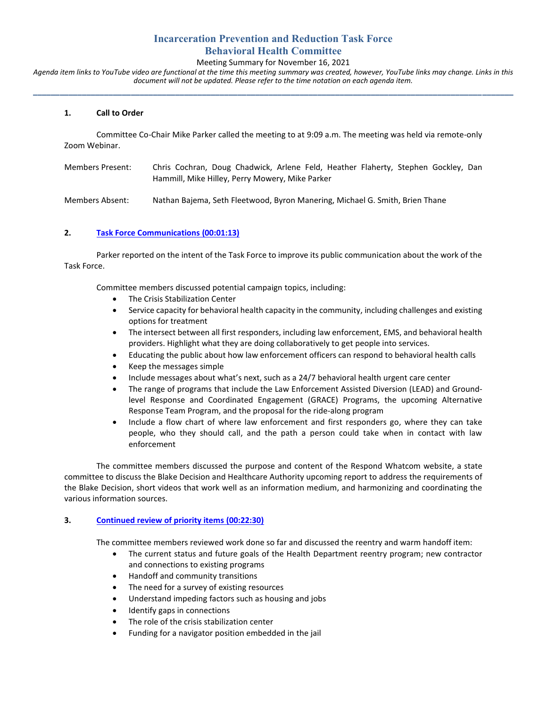# **Incarceration Prevention and Reduction Task Force Behavioral Health Committee**

## Meeting Summary for November 16, 2021

*Agenda item links to YouTube video are functional at the time this meeting summary was created, however, YouTube links may change. Links in this document will not be updated. Please refer to the time notation on each agenda item.* **\_\_\_\_\_\_\_\_\_\_\_\_\_\_\_\_\_\_\_\_\_\_\_\_\_\_\_\_\_\_\_\_\_\_\_\_\_\_\_\_\_\_\_\_\_\_\_\_\_\_\_\_\_\_\_\_\_\_\_\_\_\_\_\_\_\_\_\_\_\_\_\_\_\_\_\_\_\_\_\_\_\_\_\_\_\_\_\_\_\_\_\_\_\_\_\_\_\_\_\_\_\_\_\_\_\_\_\_**

### **1. Call to Order**

Committee Co-Chair Mike Parker called the meeting to at 9:09 a.m. The meeting was held via remote-only Zoom Webinar.

| Members Present: | Chris Cochran, Doug Chadwick, Arlene Feld, Heather Flaherty, Stephen Gockley, Dan<br>Hammill, Mike Hilley, Perry Mowery, Mike Parker |  |  |  |  |
|------------------|--------------------------------------------------------------------------------------------------------------------------------------|--|--|--|--|
| Members Absent:  | Nathan Bajema, Seth Fleetwood, Byron Manering, Michael G. Smith, Brien Thane                                                         |  |  |  |  |

#### **2. [Task Force Communications](https://youtu.be/fTG1ULH0_SY?t=73) (00:01:13)**

Parker reported on the intent of the Task Force to improve its public communication about the work of the Task Force.

Committee members discussed potential campaign topics, including:

- The Crisis Stabilization Center
- Service capacity for behavioral health capacity in the community, including challenges and existing options for treatment
- The intersect between all first responders, including law enforcement, EMS, and behavioral health providers. Highlight what they are doing collaboratively to get people into services.
- Educating the public about how law enforcement officers can respond to behavioral health calls
- Keep the messages simple
- Include messages about what's next, such as a 24/7 behavioral health urgent care center
- The range of programs that include the Law Enforcement Assisted Diversion (LEAD) and Groundlevel Response and Coordinated Engagement (GRACE) Programs, the upcoming Alternative Response Team Program, and the proposal for the ride-along program
- Include a flow chart of where law enforcement and first responders go, where they can take people, who they should call, and the path a person could take when in contact with law enforcement

The committee members discussed the purpose and content of the Respond Whatcom website, a state committee to discuss the Blake Decision and Healthcare Authority upcoming report to address the requirements of the Blake Decision, short videos that work well as an information medium, and harmonizing and coordinating the various information sources.

### **3. [Continued review of priority items](https://youtu.be/fTG1ULH0_SY?t=1351) (00:22:30)**

The committee members reviewed work done so far and discussed the reentry and warm handoff item:

- The current status and future goals of the Health Department reentry program; new contractor and connections to existing programs
- Handoff and community transitions
- The need for a survey of existing resources
- Understand impeding factors such as housing and jobs
- Identify gaps in connections
- The role of the crisis stabilization center
- Funding for a navigator position embedded in the jail